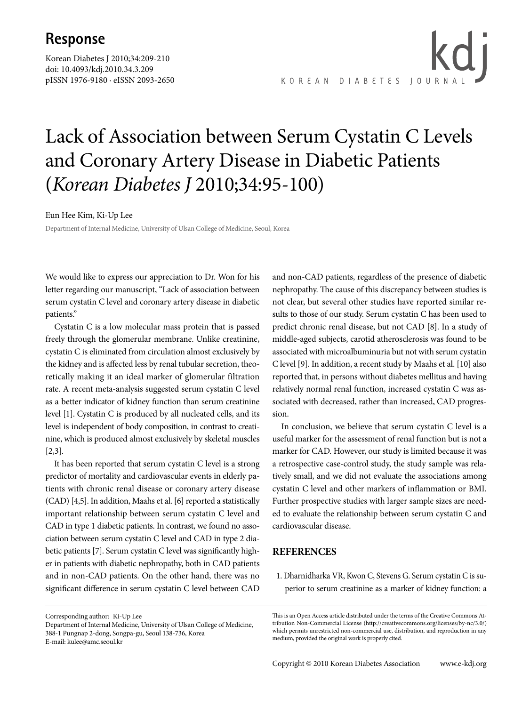## **Response**

Korean Diabetes J 2010;34:209-210 doi: 10.4093/kdj.2010.34.3.209 pISSN 1976-9180 · eISSN 2093-2650 KOREAN DIABETES JOURNA

# Lack of Association between Serum Cystatin C Levels and Coronary Artery Disease in Diabetic Patients (*Korean Diabetes J* 2010;34:95-100)

#### Eun Hee Kim, Ki-Up Lee

Department of Internal Medicine, University of Ulsan College of Medicine, Seoul, Korea

We would like to express our appreciation to Dr. Won for his letter regarding our manuscript, "Lack of association between serum cystatin C level and coronary artery disease in diabetic patients."

Cystatin C is a low molecular mass protein that is passed freely through the glomerular membrane. Unlike creatinine, cystatin C is eliminated from circulation almost exclusively by the kidney and is affected less by renal tubular secretion, theoretically making it an ideal marker of glomerular filtration rate. A recent meta-analysis suggested serum cystatin C level as a better indicator of kidney function than serum creatinine level [1]. Cystatin C is produced by all nucleated cells, and its level is independent of body composition, in contrast to creatinine, which is produced almost exclusively by skeletal muscles [2,3].

It has been reported that serum cystatin C level is a strong predictor of mortality and cardiovascular events in elderly patients with chronic renal disease or coronary artery disease (CAD) [4,5]. In addition, Maahs et al. [6] reported a statistically important relationship between serum cystatin C level and CAD in type 1 diabetic patients. In contrast, we found no association between serum cystatin C level and CAD in type 2 diabetic patients [7]. Serum cystatin C level was significantly higher in patients with diabetic nephropathy, both in CAD patients and in non-CAD patients. On the other hand, there was no significant difference in serum cystatin C level between CAD

Corresponding author: Ki-Up Lee Department of Internal Medicine, University of Ulsan College of Medicine, 388-1 Pungnap 2-dong, Songpa-gu, Seoul 138-736, Korea E-mail: kulee@amc.seoul.kr

and non-CAD patients, regardless of the presence of diabetic nephropathy. The cause of this discrepancy between studies is not clear, but several other studies have reported similar results to those of our study. Serum cystatin C has been used to predict chronic renal disease, but not CAD [8]. In a study of middle-aged subjects, carotid atherosclerosis was found to be associated with microalbuminuria but not with serum cystatin C level [9]. In addition, a recent study by Maahs et al. [10] also reported that, in persons without diabetes mellitus and having relatively normal renal function, increased cystatin C was associated with decreased, rather than increased, CAD progression.

In conclusion, we believe that serum cystatin C level is a useful marker for the assessment of renal function but is not a marker for CAD. However, our study is limited because it was a retrospective case-control study, the study sample was relatively small, and we did not evaluate the associations among cystatin C level and other markers of inflammation or BMI. Further prospective studies with larger sample sizes are needed to evaluate the relationship between serum cystatin C and cardiovascular disease.

### **REFERENCES**

1. Dharnidharka VR, Kwon C, Stevens G. Serum cystatin C is superior to serum creatinine as a marker of kidney function: a

This is an Open Access article distributed under the terms of the Creative Commons Attribution Non-Commercial License (http://creativecommons.org/licenses/by-nc/3.0/) which permits unrestricted non-commercial use, distribution, and reproduction in any medium, provided the original work is properly cited.